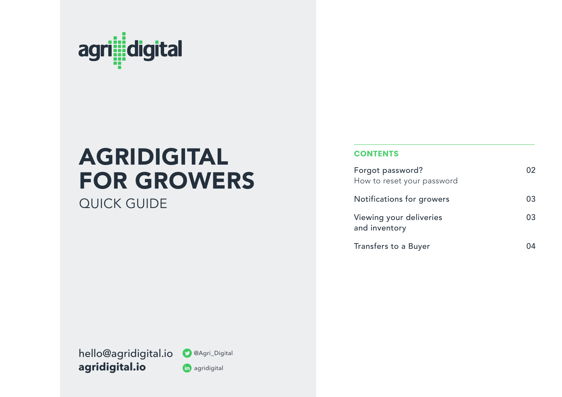

# AGRIDIGITAL FOR GROWERS

QUICK GUIDE

#### **CONTENTS**

| Forgot password?<br>How to reset your password |    |
|------------------------------------------------|----|
|                                                |    |
| Notifications for growers                      | 03 |
| Viewing your deliveries<br>and inventory       | 03 |
| Transfers to a Buyer                           |    |

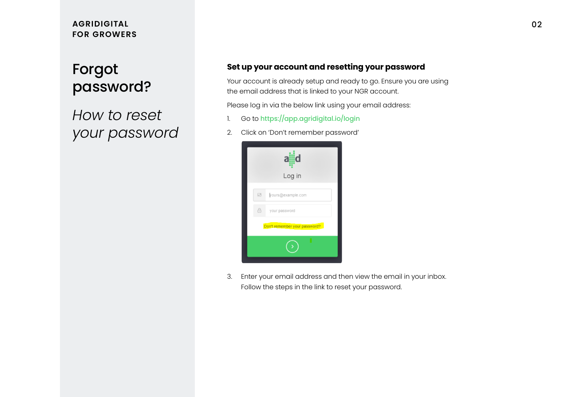### **AGRIDIGITAL FOR GROWERS**

# Forgot password?

*How to reset your password*

#### **Set up your account and resetting your password**

Your account is already setup and ready to go. Ensure you are using the email address that is linked to your NGR account.

Please log in via the below link using your email address:

- 1. Go to https://app.agridigital.io/login
- 2. Click on 'Don't remember password'



3. Enter your email address and then view the email in your inbox. Follow the steps in the link to reset your password.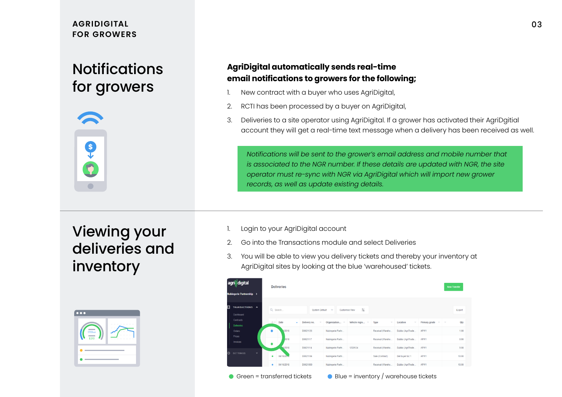### **AGRIDIGITAL FOR GROWERS**

# **Notifications** for growers



### **AgriDigital automatically sends real-time email notifications to growers for the following;**

- 1. New contract with a buyer who uses AgriDigital,
- 2. RCTI has been processed by a buyer on AgriDigital,
- 3. Deliveries to a site operator using AgriDigital. If a grower has activated their AgriDgitial account they will get a real-time text message when a delivery has been received as well.

*Notifications will be sent to the grower's email address and mobile number that is associated to the NGR number. If these details are updated with NGR, the site operator must re-sync with NGR via AgriDigital which will import new grower records, as well as update existing details.* 

Viewing your deliveries and inventory

| $\bullet\bullet\bullet$     |  |
|-----------------------------|--|
| 1701 <sub>mt</sub><br>\$210 |  |
|                             |  |
|                             |  |

- 1. Login to your AgriDigital account
- 2. Go into the Transactions module and select Deliveries
- 3. You will be able to view you delivery tickets and thereby your inventory at AgriDigital sites by looking at the blue 'warehoused' tickets.

|                | agrildigital<br><b>Nubingerie Partnership &gt;</b> |              | <b>Deliveries</b>       |   |                          |                                       |                            |                                                      |                                      |                                 | <b>New Transfer</b> |               |
|----------------|----------------------------------------------------|--------------|-------------------------|---|--------------------------|---------------------------------------|----------------------------|------------------------------------------------------|--------------------------------------|---------------------------------|---------------------|---------------|
| $\blacksquare$ | TRANSACTIONS ^<br>Dashboard                        |              | Q Search                |   | <b>System Default</b>    | $\sim$                                | 玉<br><b>Customise View</b> |                                                      |                                      |                                 |                     | Export        |
|                | <b>Contracts</b><br><b>Deliveries</b><br>Orders    |              | Date<br>$O -$<br>0/2018 | ٠ | Delivery no.<br>D0021126 | Organization -<br>Nubingerie Partn    | Vehicle regis =            | Type<br>$\overline{\phantom{a}}$<br>Receival (Wareho | Location<br>Dubbo (AgriTrade         | Primary grade<br>$\sim$<br>APW1 | $\gamma$            | Qty<br>1.00   |
|                | Prices<br>Invoices                                 |              | 2018<br>٠               |   | D0021117                 | Nubingerie Partn                      |                            | Receival (Wareho                                     | Dubbo (AgriTrade                     | APW1                            |                     | 0.90          |
| O              | <b>SETTINGS</b>                                    | $\checkmark$ | 0/2018<br>04/10/20<br>٠ |   | D0021114<br>D0021104     | Nubingerie Partn.<br>Nubingerie Partn | 12QW34                     | Receival (Wareho,<br>Sale (Contract)                 | Dubbo (AgriTrade)<br>Del buyer loc 1 | APW1<br>APW1                    |                     | 9.00<br>10.00 |
|                |                                                    |              | 04/10/2018<br>٠         |   | D0021000                 | Nubingerie Partn                      |                            | Receival (Wareho                                     | Dubbo (AgriTrade                     | APW1                            |                     | 10.00         |

Green = transferred tickets Blue = inventory / warehouse tickets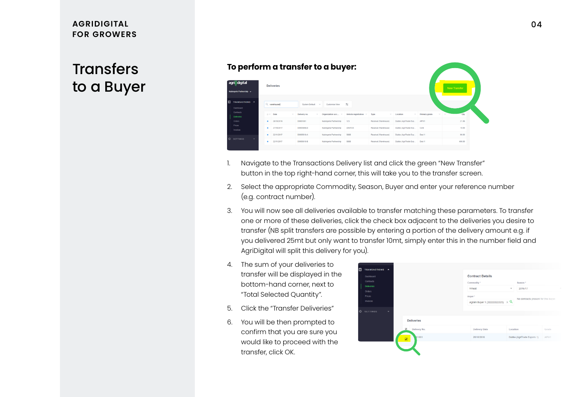#### **AGRIDIGITAL FOR GROWERS**

# **Transfers** to a Buyer

#### **To perform a transfer to a buyer:**

| agri digital<br>Nubingerie Partnership v           |             | <b>Deliveries</b> |                          |                        |                      |                      |                        |                      | New Transfer |
|----------------------------------------------------|-------------|-------------------|--------------------------|------------------------|----------------------|----------------------|------------------------|----------------------|--------------|
| 圓<br>TRANSACTIONS ^<br><b>Dashboard</b>            |             | Q warehoused      | System Default<br>$\sim$ | Customise View         | 玉                    |                      |                        |                      |              |
| Contracts<br><b>Deliveries</b>                     | $\circ$ $-$ | Date<br>$\sim$    | Delivery no.             | Organization acc       | Vehicle registration | Type<br>$\sim$       | Location<br>$\sim$     | Primary grade<br>$-$ | Qty          |
| Orders                                             | ٠           | 28/10/2016        | D0001001                 | Nubingerie Partnership | 123                  | Receival (Warehouse) | Dubbo (AgriTrade Exp., | APW1                 | 21.06        |
| <b>Prices</b><br>Invoices                          |             | 27/10/2017        | D0003908-D               | Nubingerie Partnership | <b>ASW123</b>        | Receival (Warehouse) | Dubbo (AgriTrade Exp   | CAN                  | 10.00        |
|                                                    |             | 22/11/2017        | D0005618-A               | Nubingerie Partnership | S\$88                | Receival (Warehouse) | Dubbo (AgriTrade Exp   | Desi 1               | 90.00        |
| I O<br><b>SETTINGS</b><br>$\overline{\phantom{a}}$ |             | 22/11/2017        | D0005618-B               | Nubingerie Partnership | S888                 | Receival (Warehouse) | Dubbo (AgriTrade Exp   | Desi 1               | 400.00       |

- 1. Navigate to the Transactions Delivery list and click the green "New Transfer" button in the top right-hand corner, this will take you to the transfer screen.
- 2. Select the appropriate Commodity, Season, Buyer and enter your reference number (e.g. contract number).
- 3. You will now see all deliveries available to transfer matching these parameters. To transfer one or more of these deliveries, click the check box adjacent to the deliveries you desire to transfer (NB split transfers are possible by entering a portion of the delivery amount e.g. if you delivered 25mt but only want to transfer 10mt, simply enter this in the number field and AgriDigital will split this delivery for you).
- 4. The sum of your deliveries to transfer will be displayed in the bottom-hand corner, next to "Total Selected Quantity".
- 5. Click the "Transfer Deliveries"
- 6. You will be then prompted to confirm that you are sure you would like to proceed with the transfer, click OK.